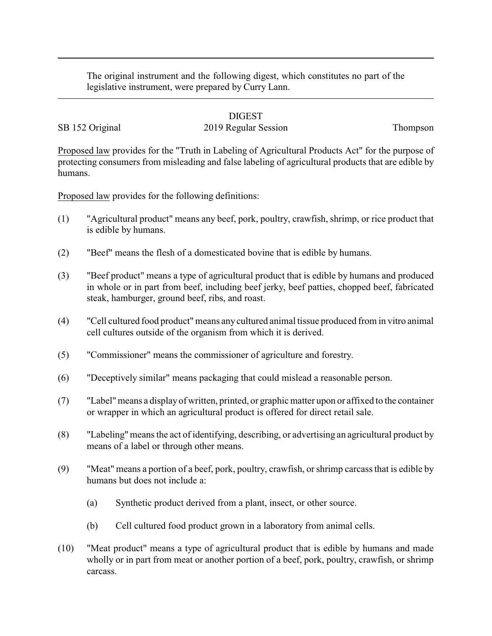The original instrument and the following digest, which constitutes no part of the legislative instrument, were prepared by Curry Lann.

## DIGEST

## SB 152 Original 2019 Regular Session Thompson

Proposed law provides for the "Truth in Labeling of Agricultural Products Act" for the purpose of protecting consumers from misleading and false labeling of agricultural products that are edible by humans.

Proposed law provides for the following definitions:

- (1) "Agricultural product" means any beef, pork, poultry, crawfish, shrimp, or rice product that is edible by humans.
- (2) "Beef" means the flesh of a domesticated bovine that is edible by humans.
- (3) "Beef product" means a type of agricultural product that is edible by humans and produced in whole or in part from beef, including beef jerky, beef patties, chopped beef, fabricated steak, hamburger, ground beef, ribs, and roast.
- (4) "Cell cultured food product"means any cultured animal tissue produced from in vitro animal cell cultures outside of the organism from which it is derived.
- (5) "Commissioner" means the commissioner of agriculture and forestry.
- (6) "Deceptively similar" means packaging that could mislead a reasonable person.
- (7) "Label"means a display of written, printed, or graphic matter upon or affixed to the container or wrapper in which an agricultural product is offered for direct retail sale.
- (8) "Labeling" means the act of identifying, describing, or advertising an agricultural product by means of a label or through other means.
- (9) "Meat" means a portion of a beef, pork, poultry, crawfish, orshrimp carcass that is edible by humans but does not include a:
	- (a) Synthetic product derived from a plant, insect, or other source.
	- (b) Cell cultured food product grown in a laboratory from animal cells.
- (10) "Meat product" means a type of agricultural product that is edible by humans and made wholly or in part from meat or another portion of a beef, pork, poultry, crawfish, or shrimp carcass.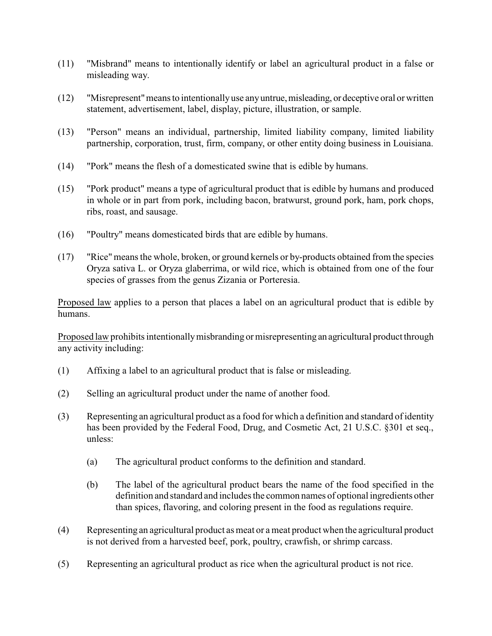- (11) "Misbrand" means to intentionally identify or label an agricultural product in a false or misleading way.
- (12) "Misrepresent"means to intentionallyuse anyuntrue,misleading, or deceptive oral or written statement, advertisement, label, display, picture, illustration, or sample.
- (13) "Person" means an individual, partnership, limited liability company, limited liability partnership, corporation, trust, firm, company, or other entity doing business in Louisiana.
- (14) "Pork" means the flesh of a domesticated swine that is edible by humans.
- (15) "Pork product" means a type of agricultural product that is edible by humans and produced in whole or in part from pork, including bacon, bratwurst, ground pork, ham, pork chops, ribs, roast, and sausage.
- (16) "Poultry" means domesticated birds that are edible by humans.
- (17) "Rice" means the whole, broken, or ground kernels or by-products obtained from the species Oryza sativa L. or Oryza glaberrima, or wild rice, which is obtained from one of the four species of grasses from the genus Zizania or Porteresia.

Proposed law applies to a person that places a label on an agricultural product that is edible by humans.

Proposed law prohibits intentionallymisbranding or misrepresenting an agricultural product through any activity including:

- (1) Affixing a label to an agricultural product that is false or misleading.
- (2) Selling an agricultural product under the name of another food.
- (3) Representing an agricultural product as a food for which a definition and standard of identity has been provided by the Federal Food, Drug, and Cosmetic Act, 21 U.S.C. §301 et seq., unless:
	- (a) The agricultural product conforms to the definition and standard.
	- (b) The label of the agricultural product bears the name of the food specified in the definition and standard and includes the common names of optional ingredients other than spices, flavoring, and coloring present in the food as regulations require.
- (4) Representing an agricultural product as meat or a meat product when the agricultural product is not derived from a harvested beef, pork, poultry, crawfish, or shrimp carcass.
- (5) Representing an agricultural product as rice when the agricultural product is not rice.